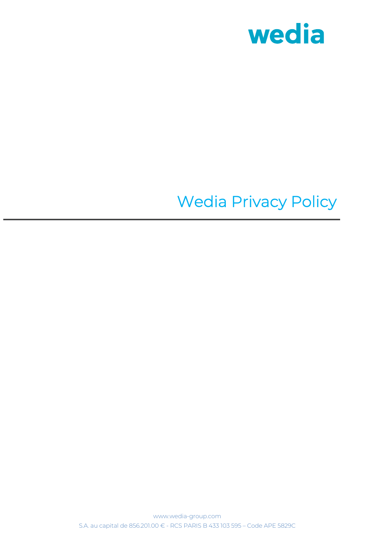

# Wedia Privacy Policy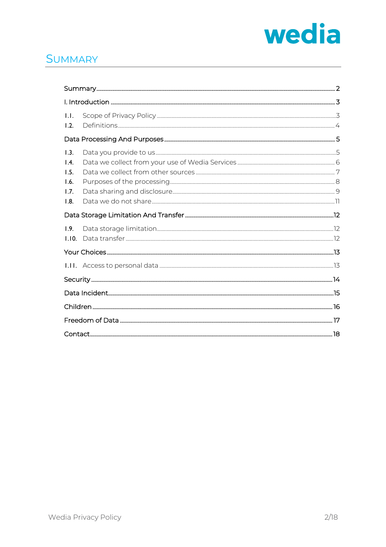

#### **SUMMARY**

| 1.1.<br>1.2.                                 |  |  |
|----------------------------------------------|--|--|
|                                              |  |  |
| 1.3.<br>1.4.<br>1.5.<br>1.6.<br>1.7.<br>1.8. |  |  |
|                                              |  |  |
| 1.9.<br>1.10.                                |  |  |
|                                              |  |  |
|                                              |  |  |
|                                              |  |  |
|                                              |  |  |
|                                              |  |  |
|                                              |  |  |
|                                              |  |  |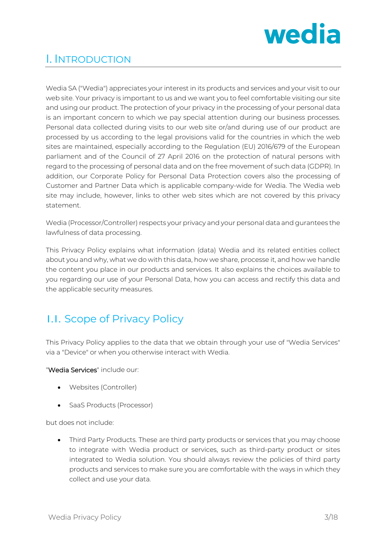

## I. INTRODUCTION

Wedia SA ("Wedia") appreciates your interest in its products and services and your visit to our web site. Your privacy is important to us and we want you to feel comfortable visiting our site and using our product. The protection of your privacy in the processing of your personal data is an important concern to which we pay special attention during our business processes. Personal data collected during visits to our web site or/and during use of our product are processed by us according to the legal provisions valid for the countries in which the web sites are maintained, especially according to the Regulation (EU) 2016/679 of the European parliament and of the Council of 27 April 2016 on the protection of natural persons with regard to the processing of personal data and on the free movement of such data (GDPR). In addition, our Corporate Policy for Personal Data Protection covers also the processing of Customer and Partner Data which is applicable company-wide for Wedia. The Wedia web site may include, however, links to other web sites which are not covered by this privacy statement.

Wedia (Processor/Controller) respects your privacy and your personal data and gurantees the lawfulness of data processing.

This Privacy Policy explains what information (data) Wedia and its related entities collect about you and why, what we do with this data, how we share, processe it, and how we handle the content you place in our products and services. It also explains the choices available to you regarding our use of your Personal Data, how you can access and rectify this data and the applicable security measures.

# 1.1. Scope of Privacy Policy

This Privacy Policy applies to the data that we obtain through your use of "Wedia Services" via a "Device" or when you otherwise interact with Wedia.

"Wedia Services" include our:

- Websites (Controller)
- SaaS Products (Processor)

but does not include:

• Third Party Products. These are third party products or services that you may choose to integrate with Wedia product or services, such as third-party product or sites integrated to Wedia solution. You should always review the policies of third party products and services to make sure you are comfortable with the ways in which they collect and use your data.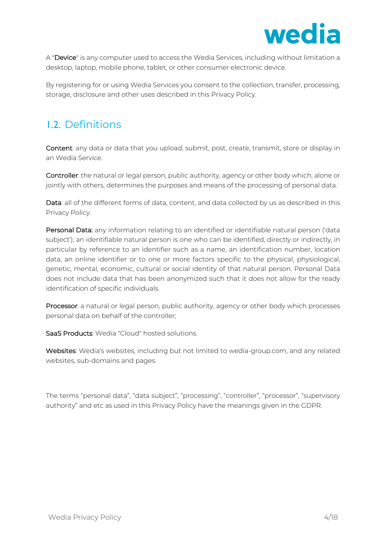

A "Device" is any computer used to access the Wedia Services, including without limitation a desktop, laptop, mobile phone, tablet, or other consumer electronic device.

By registering for or using Wedia Services you consent to the collection, transfer, processing, storage, disclosure and other uses described in this Privacy Policy.

# 1.2. Definitions

Content: any data or data that you upload, submit, post, create, transmit, store or display in an Wedia Service.

Controller: the natural or legal person, public authority, agency or other body which, alone or jointly with others, determines the purposes and means of the processing of personal data.

Data: all of the different forms of data, content, and data collected by us as described in this Privacy Policy.

Personal Data: any information relating to an identified or identifiable natural person ('data subject'); an identifiable natural person is one who can be identified, directly or indirectly, in particular by reference to an identifier such as a name, an identification number, location data, an online identifier or to one or more factors specific to the physical, physiological, genetic, mental, economic, cultural or social identity of that natural person. Personal Data does not include data that has been anonymized such that it does not allow for the ready identification of specific individuals.

Processor: a natural or legal person, public authority, agency or other body which processes personal data on behalf of the controller;

SaaS Products: Wedia "Cloud" hosted solutions.

Websites: Wedia's websites, including but not limited to wedia-group.com, and any related websites, sub-domains and pages.

The terms "personal data", "data subject", "processing", "controller", "processor", "supervisory authority" and etc as used in this Privacy Policy have the meanings given in the GDPR.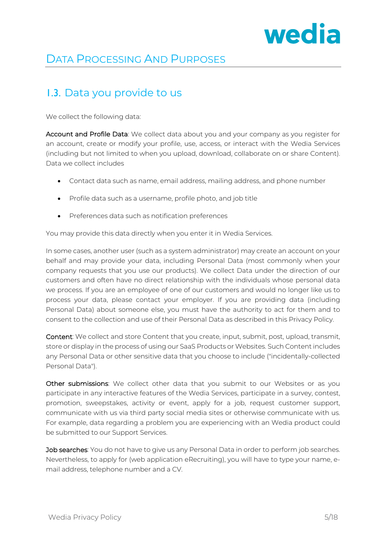

# DATA PROCESSING AND PURPOSES

#### 1.3. Data you provide to us

We collect the following data:

Account and Profile Data: We collect data about you and your company as you register for an account, create or modify your profile, use, access, or interact with the Wedia Services (including but not limited to when you upload, download, collaborate on or share Content). Data we collect includes

- Contact data such as name, email address, mailing address, and phone number
- Profile data such as a username, profile photo, and job title
- Preferences data such as notification preferences

You may provide this data directly when you enter it in Wedia Services.

In some cases, another user (such as a system administrator) may create an account on your behalf and may provide your data, including Personal Data (most commonly when your company requests that you use our products). We collect Data under the direction of our customers and often have no direct relationship with the individuals whose personal data we process. If you are an employee of one of our customers and would no longer like us to process your data, please contact your employer. If you are providing data (including Personal Data) about someone else, you must have the authority to act for them and to consent to the collection and use of their Personal Data as described in this Privacy Policy.

Content: We collect and store Content that you create, input, submit, post, upload, transmit, store or display in the process of using our SaaS Products or Websites. Such Content includes any Personal Data or other sensitive data that you choose to include ("incidentally-collected Personal Data").

Other submissions: We collect other data that you submit to our Websites or as you participate in any interactive features of the Wedia Services, participate in a survey, contest, promotion, sweepstakes, activity or event, apply for a job, request customer support, communicate with us via third party social media sites or otherwise communicate with us. For example, data regarding a problem you are experiencing with an Wedia product could be submitted to our Support Services.

Job searches: You do not have to give us any Personal Data in order to perform job searches. Nevertheless, to apply for (web application eRecruiting), you will have to type your name, email address, telephone number and a CV.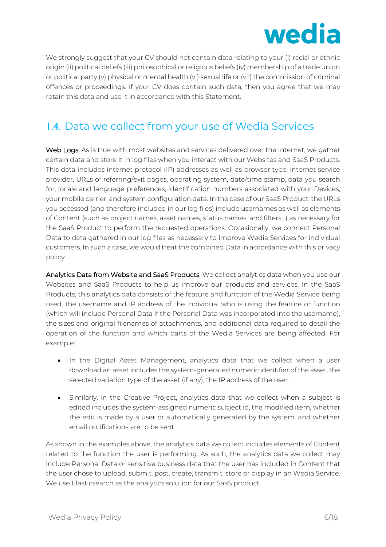

We strongly suggest that your CV should not contain data relating to your (i) racial or ethnic origin (ii) political beliefs (iii) philosophical or religious beliefs (iv) membership of a trade union or political party (v) physical or mental health (vi) sexual life or (vii) the commission of criminal offences or proceedings. If your CV does contain such data, then you agree that we may retain this data and use it in accordance with this Statement.

# 1.4. Data we collect from your use of Wedia Services

Web Logs: As is true with most websites and services delivered over the Internet, we gather certain data and store it in log files when you interact with our Websites and SaaS Products. This data includes internet protocol (IP) addresses as well as browser type, internet service provider, URLs of referring/exit pages, operating system, date/time stamp, data you search for, locale and language preferences, identification numbers associated with your Devices, your mobile carrier, and system configuration data. In the case of our SaaS Product, the URLs you accessed (and therefore included in our log files) include usernames as well as elements of Content (such as project names, asset names, status names, and filters…) as necessary for the SaaS Product to perform the requested operations. Occasionally, we connect Personal Data to data gathered in our log files as necessary to improve Wedia Services for individual customers. In such a case, we would treat the combined Data in accordance with this privacy policy.

Analytics Data from Website and SaaS Products: We collect analytics data when you use our Websites and SaaS Products to help us improve our products and services. In the SaaS Products, this analytics data consists of the feature and function of the Wedia Service being used, the username and IP address of the individual who is using the feature or function (which will include Personal Data if the Personal Data was incorporated into the username), the sizes and original filenames of attachments, and additional data required to detail the operation of the function and which parts of the Wedia Services are being affected. For example:

- In the Digital Asset Management, analytics data that we collect when a user download an asset includes the system-generated numeric identifier of the asset, the selected variation type of the asset (if any), the IP address of the user.
- Similarly, in the Creative Project, analytics data that we collect when a subject is edited includes the system-assigned numeric subject id, the modified item, whether the edit is made by a user or automatically generated by the system, and whether email notifications are to be sent.

As shown in the examples above, the analytics data we collect includes elements of Content related to the function the user is performing. As such, the analytics data we collect may include Personal Data or sensitive business data that the user has included in Content that the user chose to upload, submit, post, create, transmit, store or display in an Wedia Service. We use Elasticsearch as the analytics solution for our SaaS product.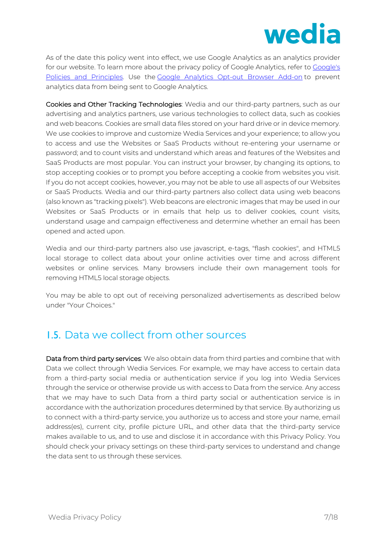

As of the date this policy went into effect, we use Google Analytics as an analytics provider for our website. To learn more about the privacy policy of Google Analytics, refer to Google's Policies and Principles. Use the Google Analytics Opt-out Browser Add-on to prevent analytics data from being sent to Google Analytics.

Cookies and Other Tracking Technologies: Wedia and our third-party partners, such as our advertising and analytics partners, use various technologies to collect data, such as cookies and web beacons. Cookies are small data files stored on your hard drive or in device memory. We use cookies to improve and customize Wedia Services and your experience; to allow you to access and use the Websites or SaaS Products without re-entering your username or password; and to count visits and understand which areas and features of the Websites and SaaS Products are most popular. You can instruct your browser, by changing its options, to stop accepting cookies or to prompt you before accepting a cookie from websites you visit. If you do not accept cookies, however, you may not be able to use all aspects of our Websites or SaaS Products. Wedia and our third-party partners also collect data using web beacons (also known as "tracking pixels"). Web beacons are electronic images that may be used in our Websites or SaaS Products or in emails that help us to deliver cookies, count visits, understand usage and campaign effectiveness and determine whether an email has been opened and acted upon.

Wedia and our third-party partners also use javascript, e-tags, "flash cookies", and HTML5 local storage to collect data about your online activities over time and across different websites or online services. Many browsers include their own management tools for removing HTML5 local storage objects.

You may be able to opt out of receiving personalized advertisements as described below under "Your Choices."

#### 1.5. Data we collect from other sources

Data from third party services: We also obtain data from third parties and combine that with Data we collect through Wedia Services. For example, we may have access to certain data from a third-party social media or authentication service if you log into Wedia Services through the service or otherwise provide us with access to Data from the service. Any access that we may have to such Data from a third party social or authentication service is in accordance with the authorization procedures determined by that service. By authorizing us to connect with a third-party service, you authorize us to access and store your name, email address(es), current city, profile picture URL, and other data that the third-party service makes available to us, and to use and disclose it in accordance with this Privacy Policy. You should check your privacy settings on these third-party services to understand and change the data sent to us through these services.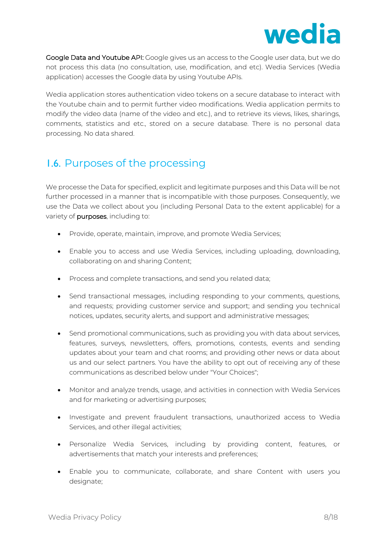

Google Data and Youtube API: Google gives us an access to the Google user data, but we do not process this data (no consultation, use, modification, and etc). Wedia Services (Wedia application) accesses the Google data by using Youtube APIs.

Wedia application stores authentication video tokens on a secure database to interact with the Youtube chain and to permit further video modifications. Wedia application permits to modify the video data (name of the video and etc.), and to retrieve its views, likes, sharings, comments, statistics and etc., stored on a secure database. There is no personal data processing. No data shared.

#### 1.6. Purposes of the processing

We processe the Data for specified, explicit and legitimate purposes and this Data will be not further processed in a manner that is incompatible with those purposes. Consequently, we use the Data we collect about you (including Personal Data to the extent applicable) for a variety of purposes, including to:

- Provide, operate, maintain, improve, and promote Wedia Services;
- Enable you to access and use Wedia Services, including uploading, downloading, collaborating on and sharing Content;
- Process and complete transactions, and send you related data;
- Send transactional messages, including responding to your comments, questions, and requests; providing customer service and support; and sending you technical notices, updates, security alerts, and support and administrative messages;
- Send promotional communications, such as providing you with data about services, features, surveys, newsletters, offers, promotions, contests, events and sending updates about your team and chat rooms; and providing other news or data about us and our select partners. You have the ability to opt out of receiving any of these communications as described below under "Your Choices";
- Monitor and analyze trends, usage, and activities in connection with Wedia Services and for marketing or advertising purposes;
- Investigate and prevent fraudulent transactions, unauthorized access to Wedia Services, and other illegal activities;
- Personalize Wedia Services, including by providing content, features, or advertisements that match your interests and preferences;
- Enable you to communicate, collaborate, and share Content with users you designate;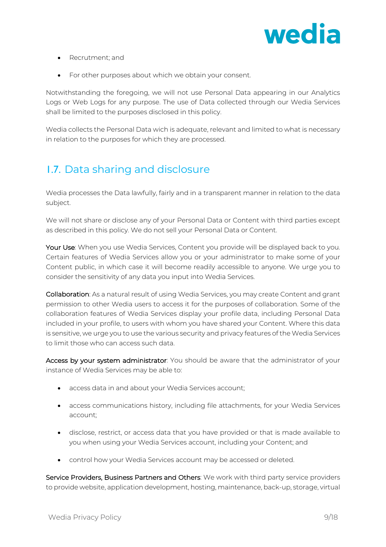

- Recrutment; and
- For other purposes about which we obtain your consent.

Notwithstanding the foregoing, we will not use Personal Data appearing in our Analytics Logs or Web Logs for any purpose. The use of Data collected through our Wedia Services shall be limited to the purposes disclosed in this policy.

Wedia collects the Personal Data wich is adequate, relevant and limited to what is necessary in relation to the purposes for which they are processed.

## 1.7. Data sharing and disclosure

Wedia processes the Data lawfully, fairly and in a transparent manner in relation to the data subject.

We will not share or disclose any of your Personal Data or Content with third parties except as described in this policy. We do not sell your Personal Data or Content.

Your Use: When you use Wedia Services, Content you provide will be displayed back to you. Certain features of Wedia Services allow you or your administrator to make some of your Content public, in which case it will become readily accessible to anyone. We urge you to consider the sensitivity of any data you input into Wedia Services.

Collaboration: As a natural result of using Wedia Services, you may create Content and grant permission to other Wedia users to access it for the purposes of collaboration. Some of the collaboration features of Wedia Services display your profile data, including Personal Data included in your profile, to users with whom you have shared your Content. Where this data is sensitive, we urge you to use the various security and privacy features of the Wedia Services to limit those who can access such data.

Access by your system administrator: You should be aware that the administrator of your instance of Wedia Services may be able to:

- access data in and about your Wedia Services account;
- access communications history, including file attachments, for your Wedia Services account;
- disclose, restrict, or access data that you have provided or that is made available to you when using your Wedia Services account, including your Content; and
- control how your Wedia Services account may be accessed or deleted.

Service Providers, Business Partners and Others: We work with third party service providers to provide website, application development, hosting, maintenance, back-up, storage, virtual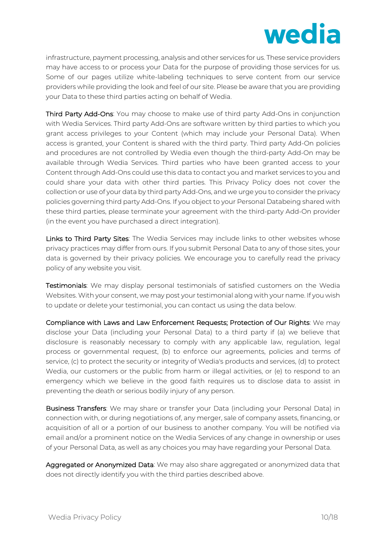

infrastructure, payment processing, analysis and other services for us. These service providers may have access to or process your Data for the purpose of providing those services for us. Some of our pages utilize white-labeling techniques to serve content from our service providers while providing the look and feel of our site. Please be aware that you are providing your Data to these third parties acting on behalf of Wedia.

Third Party Add-Ons: You may choose to make use of third party Add-Ons in conjunction with Wedia Services. Third party Add-Ons are software written by third parties to which you grant access privileges to your Content (which may include your Personal Data). When access is granted, your Content is shared with the third party. Third party Add-On policies and procedures are not controlled by Wedia even though the third-party Add-On may be available through Wedia Services. Third parties who have been granted access to your Content through Add-Ons could use this data to contact you and market services to you and could share your data with other third parties. This Privacy Policy does not cover the collection or use of your data by third party Add-Ons, and we urge you to consider the privacy policies governing third party Add-Ons. If you object to your Personal Databeing shared with these third parties, please terminate your agreement with the third-party Add-On provider (in the event you have purchased a direct integration).

Links to Third Party Sites: The Wedia Services may include links to other websites whose privacy practices may differ from ours. If you submit Personal Data to any of those sites, your data is governed by their privacy policies. We encourage you to carefully read the privacy policy of any website you visit.

Testimonials: We may display personal testimonials of satisfied customers on the Wedia Websites. With your consent, we may post your testimonial along with your name. If you wish to update or delete your testimonial, you can contact us using the data below.

Compliance with Laws and Law Enforcement Requests; Protection of Our Rights: We may disclose your Data (including your Personal Data) to a third party if (a) we believe that disclosure is reasonably necessary to comply with any applicable law, regulation, legal process or governmental request, (b) to enforce our agreements, policies and terms of service, (c) to protect the security or integrity of Wedia's products and services, (d) to protect Wedia, our customers or the public from harm or illegal activities, or (e) to respond to an emergency which we believe in the good faith requires us to disclose data to assist in preventing the death or serious bodily injury of any person.

Business Transfers: We may share or transfer your Data (including your Personal Data) in connection with, or during negotiations of, any merger, sale of company assets, financing, or acquisition of all or a portion of our business to another company. You will be notified via email and/or a prominent notice on the Wedia Services of any change in ownership or uses of your Personal Data, as well as any choices you may have regarding your Personal Data.

Aggregated or Anonymized Data: We may also share aggregated or anonymized data that does not directly identify you with the third parties described above.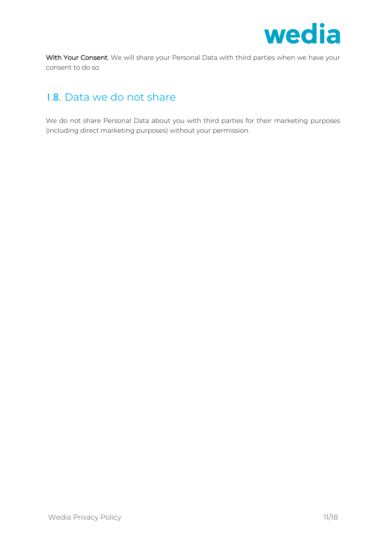

With Your Consent. We will share your Personal Data with third parties when we have your consent to do so.

## 1.8. Data we do not share

We do not share Personal Data about you with third parties for their marketing purposes (including direct marketing purposes) without your permission.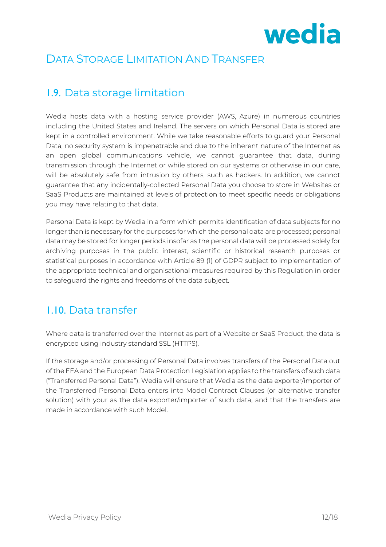

## DATA STORAGE LIMITATION AND TRANSFER

#### 1.9. Data storage limitation

Wedia hosts data with a hosting service provider (AWS, Azure) in numerous countries including the United States and Ireland. The servers on which Personal Data is stored are kept in a controlled environment. While we take reasonable efforts to guard your Personal Data, no security system is impenetrable and due to the inherent nature of the Internet as an open global communications vehicle, we cannot guarantee that data, during transmission through the Internet or while stored on our systems or otherwise in our care, will be absolutely safe from intrusion by others, such as hackers. In addition, we cannot guarantee that any incidentally-collected Personal Data you choose to store in Websites or SaaS Products are maintained at levels of protection to meet specific needs or obligations you may have relating to that data.

Personal Data is kept by Wedia in a form which permits identification of data subjects for no longer than is necessary for the purposes for which the personal data are processed; personal data may be stored for longer periods insofar as the personal data will be processed solely for archiving purposes in the public interest, scientific or historical research purposes or statistical purposes in accordance with Article 89 (1) of GDPR subject to implementation of the appropriate technical and organisational measures required by this Regulation in order to safeguard the rights and freedoms of the data subject.

#### 1.10. Data transfer

Where data is transferred over the Internet as part of a Website or SaaS Product, the data is encrypted using industry standard SSL (HTTPS).

If the storage and/or processing of Personal Data involves transfers of the Personal Data out of the EEA and the European Data Protection Legislation applies to the transfers of such data ("Transferred Personal Data"), Wedia will ensure that Wedia as the data exporter/importer of the Transferred Personal Data enters into Model Contract Clauses (or alternative transfer solution) with your as the data exporter/importer of such data, and that the transfers are made in accordance with such Model.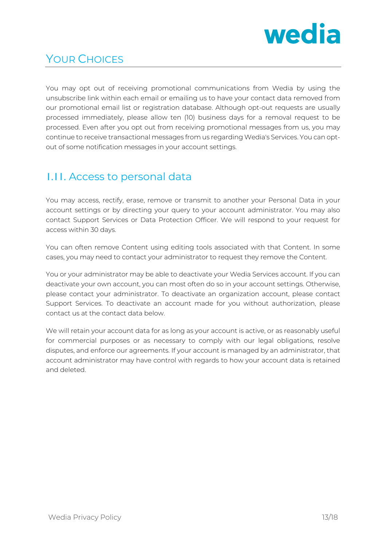

# YOUR CHOICES

You may opt out of receiving promotional communications from Wedia by using the unsubscribe link within each email or emailing us to have your contact data removed from our promotional email list or registration database. Although opt-out requests are usually processed immediately, please allow ten (10) business days for a removal request to be processed. Even after you opt out from receiving promotional messages from us, you may continue to receive transactional messages from us regarding Wedia's Services. You can optout of some notification messages in your account settings.

## 1.11. Access to personal data

You may access, rectify, erase, remove or transmit to another your Personal Data in your account settings or by directing your query to your account administrator. You may also contact Support Services or Data Protection Officer. We will respond to your request for access within 30 days.

You can often remove Content using editing tools associated with that Content. In some cases, you may need to contact your administrator to request they remove the Content.

You or your administrator may be able to deactivate your Wedia Services account. If you can deactivate your own account, you can most often do so in your account settings. Otherwise, please contact your administrator. To deactivate an organization account, please contact Support Services. To deactivate an account made for you without authorization, please contact us at the contact data below.

We will retain your account data for as long as your account is active, or as reasonably useful for commercial purposes or as necessary to comply with our legal obligations, resolve disputes, and enforce our agreements. If your account is managed by an administrator, that account administrator may have control with regards to how your account data is retained and deleted.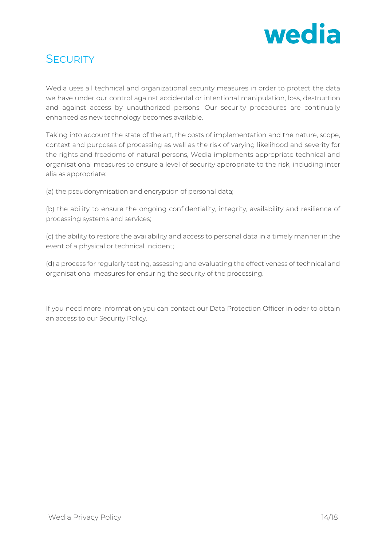

## **SECURITY**

Wedia uses all technical and organizational security measures in order to protect the data we have under our control against accidental or intentional manipulation, loss, destruction and against access by unauthorized persons. Our security procedures are continually enhanced as new technology becomes available.

Taking into account the state of the art, the costs of implementation and the nature, scope, context and purposes of processing as well as the risk of varying likelihood and severity for the rights and freedoms of natural persons, Wedia implements appropriate technical and organisational measures to ensure a level of security appropriate to the risk, including inter alia as appropriate:

(a) the pseudonymisation and encryption of personal data;

(b) the ability to ensure the ongoing confidentiality, integrity, availability and resilience of processing systems and services;

(c) the ability to restore the availability and access to personal data in a timely manner in the event of a physical or technical incident;

(d) a process for regularly testing, assessing and evaluating the effectiveness of technical and organisational measures for ensuring the security of the processing.

If you need more information you can contact our Data Protection Officer in oder to obtain an access to our Security Policy.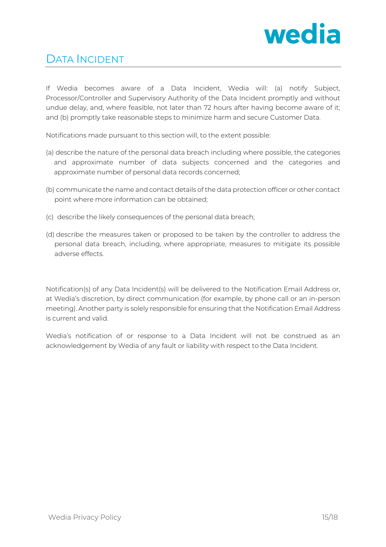

# DATA INCIDENT

If Wedia becomes aware of a Data Incident, Wedia will: (a) notify Subject, Processor/Controller and Supervisory Authority of the Data Incident promptly and without undue delay, and, where feasible, not later than 72 hours after having become aware of it; and (b) promptly take reasonable steps to minimize harm and secure Customer Data.

Notifications made pursuant to this section will, to the extent possible:

- (a) describe the nature of the personal data breach including where possible, the categories and approximate number of data subjects concerned and the categories and approximate number of personal data records concerned;
- (b) communicate the name and contact details of the data protection officer or other contact point where more information can be obtained;
- (c) describe the likely consequences of the personal data breach;
- (d) describe the measures taken or proposed to be taken by the controller to address the personal data breach, including, where appropriate, measures to mitigate its possible adverse effects.

Notification(s) of any Data Incident(s) will be delivered to the Notification Email Address or, at Wedia's discretion, by direct communication (for example, by phone call or an in-person meeting). Another party is solely responsible for ensuring that the Notification Email Address is current and valid.

Wedia's notification of or response to a Data Incident will not be construed as an acknowledgement by Wedia of any fault or liability with respect to the Data Incident.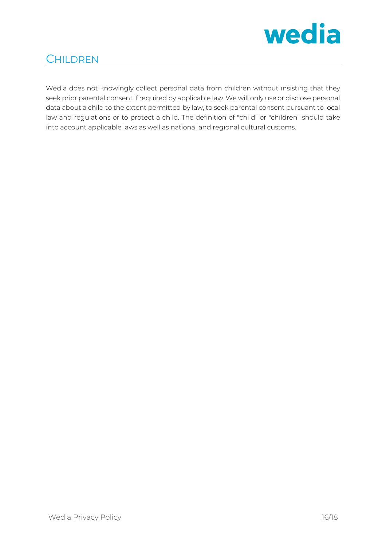

# **CHILDREN**

Wedia does not knowingly collect personal data from children without insisting that they seek prior parental consent if required by applicable law. We will only use or disclose personal data about a child to the extent permitted by law, to seek parental consent pursuant to local law and regulations or to protect a child. The definition of "child" or "children" should take into account applicable laws as well as national and regional cultural customs.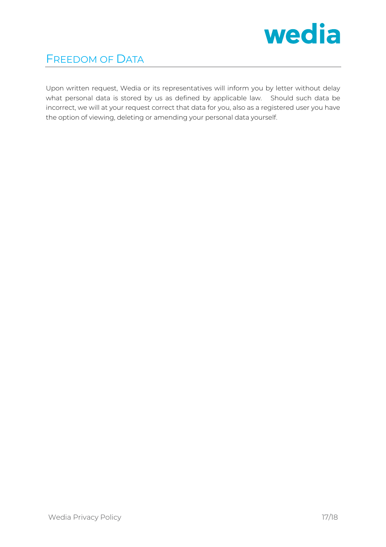

# FREEDOM OF DATA

Upon written request, Wedia or its representatives will inform you by letter without delay what personal data is stored by us as defined by applicable law. Should such data be incorrect, we will at your request correct that data for you, also as a registered user you have the option of viewing, deleting or amending your personal data yourself.